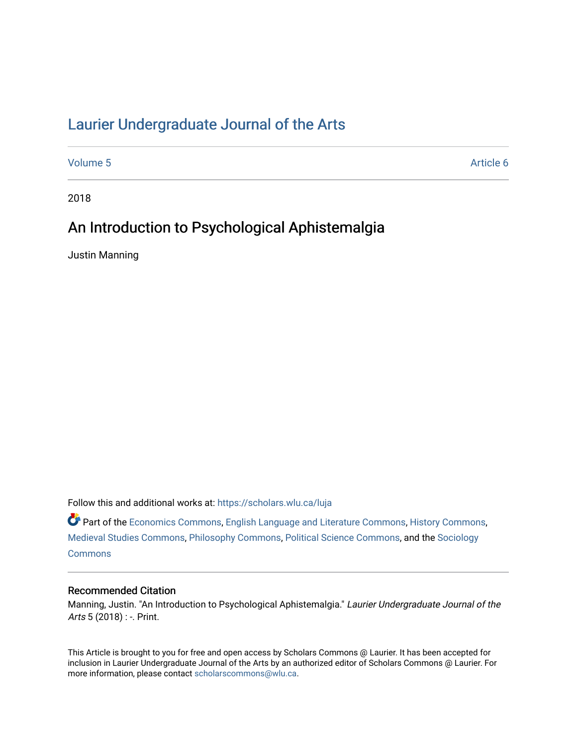# [Laurier Undergraduate Journal of the Arts](https://scholars.wlu.ca/luja)

[Volume 5](https://scholars.wlu.ca/luja/vol5) Article 6

2018

# An Introduction to Psychological Aphistemalgia

Justin Manning

Follow this and additional works at: [https://scholars.wlu.ca/luja](https://scholars.wlu.ca/luja?utm_source=scholars.wlu.ca%2Fluja%2Fvol5%2Fiss1%2F6&utm_medium=PDF&utm_campaign=PDFCoverPages) 

Part of the [Economics Commons](http://network.bepress.com/hgg/discipline/340?utm_source=scholars.wlu.ca%2Fluja%2Fvol5%2Fiss1%2F6&utm_medium=PDF&utm_campaign=PDFCoverPages), [English Language and Literature Commons,](http://network.bepress.com/hgg/discipline/455?utm_source=scholars.wlu.ca%2Fluja%2Fvol5%2Fiss1%2F6&utm_medium=PDF&utm_campaign=PDFCoverPages) [History Commons,](http://network.bepress.com/hgg/discipline/489?utm_source=scholars.wlu.ca%2Fluja%2Fvol5%2Fiss1%2F6&utm_medium=PDF&utm_campaign=PDFCoverPages) [Medieval Studies Commons](http://network.bepress.com/hgg/discipline/480?utm_source=scholars.wlu.ca%2Fluja%2Fvol5%2Fiss1%2F6&utm_medium=PDF&utm_campaign=PDFCoverPages), [Philosophy Commons](http://network.bepress.com/hgg/discipline/525?utm_source=scholars.wlu.ca%2Fluja%2Fvol5%2Fiss1%2F6&utm_medium=PDF&utm_campaign=PDFCoverPages), [Political Science Commons](http://network.bepress.com/hgg/discipline/386?utm_source=scholars.wlu.ca%2Fluja%2Fvol5%2Fiss1%2F6&utm_medium=PDF&utm_campaign=PDFCoverPages), and the [Sociology](http://network.bepress.com/hgg/discipline/416?utm_source=scholars.wlu.ca%2Fluja%2Fvol5%2Fiss1%2F6&utm_medium=PDF&utm_campaign=PDFCoverPages)  **[Commons](http://network.bepress.com/hgg/discipline/416?utm_source=scholars.wlu.ca%2Fluja%2Fvol5%2Fiss1%2F6&utm_medium=PDF&utm_campaign=PDFCoverPages)** 

# Recommended Citation

Manning, Justin. "An Introduction to Psychological Aphistemalgia." Laurier Undergraduate Journal of the Arts 5 (2018) : -. Print.

This Article is brought to you for free and open access by Scholars Commons @ Laurier. It has been accepted for inclusion in Laurier Undergraduate Journal of the Arts by an authorized editor of Scholars Commons @ Laurier. For more information, please contact [scholarscommons@wlu.ca](mailto:scholarscommons@wlu.ca).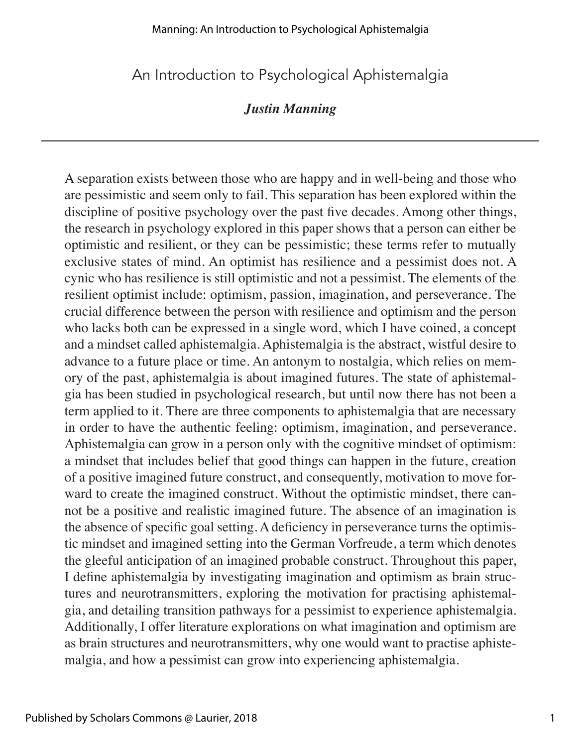An Introduction to Psychological Aphistemalgia

# *Justin Manning*

A separation exists between those who are happy and in well-being and those who are pessimistic and seem only to fail. This separation has been explored within the discipline of positive psychology over the past five decades. Among other things, the research in psychology explored in this paper shows that a person can either be optimistic and resilient, or they can be pessimistic; these terms refer to mutually exclusive states of mind. An optimist has resilience and a pessimist does not. A cynic who has resilience is still optimistic and not a pessimist. The elements of the resilient optimist include: optimism, passion, imagination, and perseverance. The crucial difference between the person with resilience and optimism and the person who lacks both can be expressed in a single word, which I have coined, a concept and a mindset called aphistemalgia. Aphistemalgia is the abstract, wistful desire to advance to a future place or time. An antonym to nostalgia, which relies on memory of the past, aphistemalgia is about imagined futures. The state of aphistemalgia has been studied in psychological research, but until now there has not been a term applied to it. There are three components to aphistemalgia that are necessary in order to have the authentic feeling: optimism, imagination, and perseverance. Aphistemalgia can grow in a person only with the cognitive mindset of optimism: a mindset that includes belief that good things can happen in the future, creation of a positive imagined future construct, and consequently, motivation to move forward to create the imagined construct. Without the optimistic mindset, there cannot be a positive and realistic imagined future. The absence of an imagination is the absence of specific goal setting. A deficiency in perseverance turns the optimistic mindset and imagined setting into the German Vorfreude, a term which denotes the gleeful anticipation of an imagined probable construct. Throughout this paper, I define aphistemalgia by investigating imagination and optimism as brain structures and neurotransmitters, exploring the motivation for practising aphistemalgia, and detailing transition pathways for a pessimist to experience aphistemalgia. Additionally, I offer literature explorations on what imagination and optimism are as brain structures and neurotransmitters, why one would want to practise aphistemalgia, and how a pessimist can grow into experiencing aphistemalgia.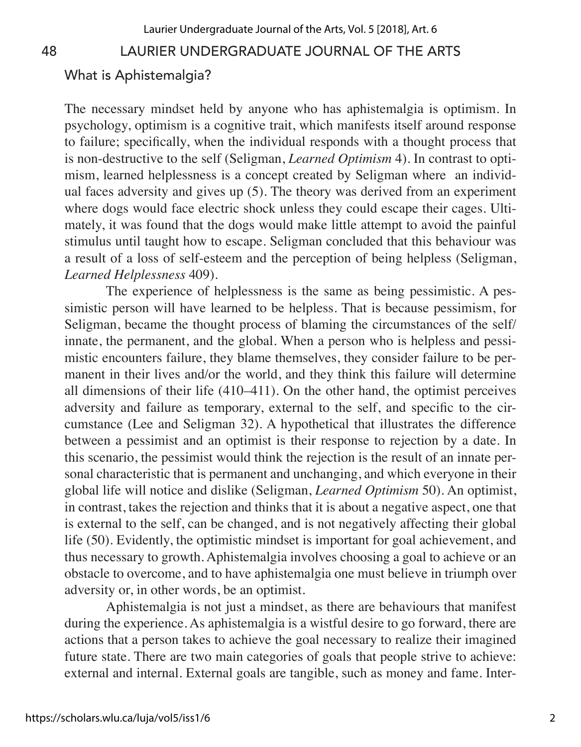#### What is Aphistemalgia?

The necessary mindset held by anyone who has aphistemalgia is optimism. In psychology, optimism is a cognitive trait, which manifests itself around response to failure; specifically, when the individual responds with a thought process that is non-destructive to the self (Seligman, *Learned Optimism* 4). In contrast to optimism, learned helplessness is a concept created by Seligman where an individual faces adversity and gives up (5). The theory was derived from an experiment where dogs would face electric shock unless they could escape their cages. Ultimately, it was found that the dogs would make little attempt to avoid the painful stimulus until taught how to escape. Seligman concluded that this behaviour was a result of a loss of self-esteem and the perception of being helpless (Seligman, *Learned Helplessness* 409).

The experience of helplessness is the same as being pessimistic. A pessimistic person will have learned to be helpless. That is because pessimism, for Seligman, became the thought process of blaming the circumstances of the self/ innate, the permanent, and the global. When a person who is helpless and pessimistic encounters failure, they blame themselves, they consider failure to be permanent in their lives and/or the world, and they think this failure will determine all dimensions of their life (410–411). On the other hand, the optimist perceives adversity and failure as temporary, external to the self, and specific to the circumstance (Lee and Seligman 32). A hypothetical that illustrates the difference between a pessimist and an optimist is their response to rejection by a date. In this scenario, the pessimist would think the rejection is the result of an innate personal characteristic that is permanent and unchanging, and which everyone in their global life will notice and dislike (Seligman, *Learned Optimism* 50). An optimist, in contrast, takes the rejection and thinks that it is about a negative aspect, one that is external to the self, can be changed, and is not negatively affecting their global life (50). Evidently, the optimistic mindset is important for goal achievement, and thus necessary to growth. Aphistemalgia involves choosing a goal to achieve or an obstacle to overcome, and to have aphistemalgia one must believe in triumph over adversity or, in other words, be an optimist.

Aphistemalgia is not just a mindset, as there are behaviours that manifest during the experience. As aphistemalgia is a wistful desire to go forward, there are actions that a person takes to achieve the goal necessary to realize their imagined future state. There are two main categories of goals that people strive to achieve: external and internal. External goals are tangible, such as money and fame. Inter-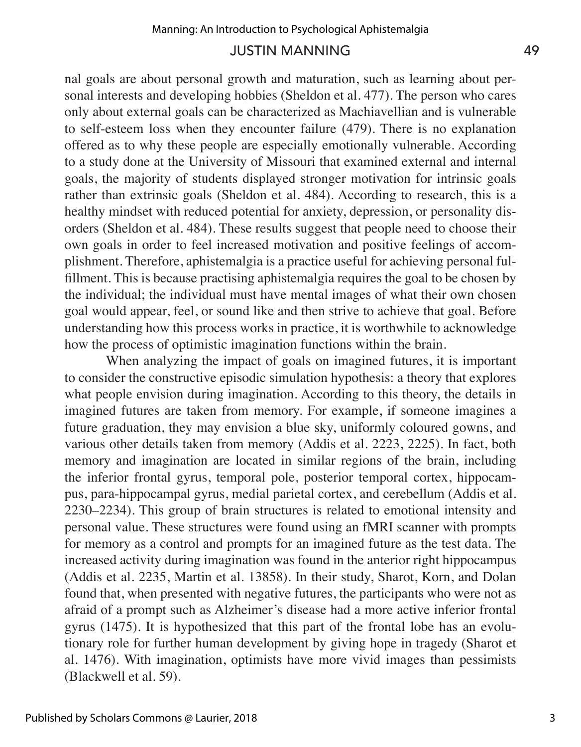nal goals are about personal growth and maturation, such as learning about personal interests and developing hobbies (Sheldon et al. 477). The person who cares only about external goals can be characterized as Machiavellian and is vulnerable to self-esteem loss when they encounter failure (479). There is no explanation offered as to why these people are especially emotionally vulnerable. According to a study done at the University of Missouri that examined external and internal goals, the majority of students displayed stronger motivation for intrinsic goals rather than extrinsic goals (Sheldon et al. 484). According to research, this is a healthy mindset with reduced potential for anxiety, depression, or personality disorders (Sheldon et al. 484). These results suggest that people need to choose their own goals in order to feel increased motivation and positive feelings of accomplishment. Therefore, aphistemalgia is a practice useful for achieving personal fulfillment. This is because practising aphistemalgia requires the goal to be chosen by the individual; the individual must have mental images of what their own chosen goal would appear, feel, or sound like and then strive to achieve that goal. Before understanding how this process works in practice, it is worthwhile to acknowledge how the process of optimistic imagination functions within the brain.

When analyzing the impact of goals on imagined futures, it is important to consider the constructive episodic simulation hypothesis: a theory that explores what people envision during imagination. According to this theory, the details in imagined futures are taken from memory. For example, if someone imagines a future graduation, they may envision a blue sky, uniformly coloured gowns, and various other details taken from memory (Addis et al. 2223, 2225). In fact, both memory and imagination are located in similar regions of the brain, including the inferior frontal gyrus, temporal pole, posterior temporal cortex, hippocampus, para-hippocampal gyrus, medial parietal cortex, and cerebellum (Addis et al. 2230–2234). This group of brain structures is related to emotional intensity and personal value. These structures were found using an fMRI scanner with prompts for memory as a control and prompts for an imagined future as the test data. The increased activity during imagination was found in the anterior right hippocampus (Addis et al. 2235, Martin et al. 13858). In their study, Sharot, Korn, and Dolan found that, when presented with negative futures, the participants who were not as afraid of a prompt such as Alzheimer's disease had a more active inferior frontal gyrus (1475). It is hypothesized that this part of the frontal lobe has an evolutionary role for further human development by giving hope in tragedy (Sharot et al. 1476). With imagination, optimists have more vivid images than pessimists (Blackwell et al. 59).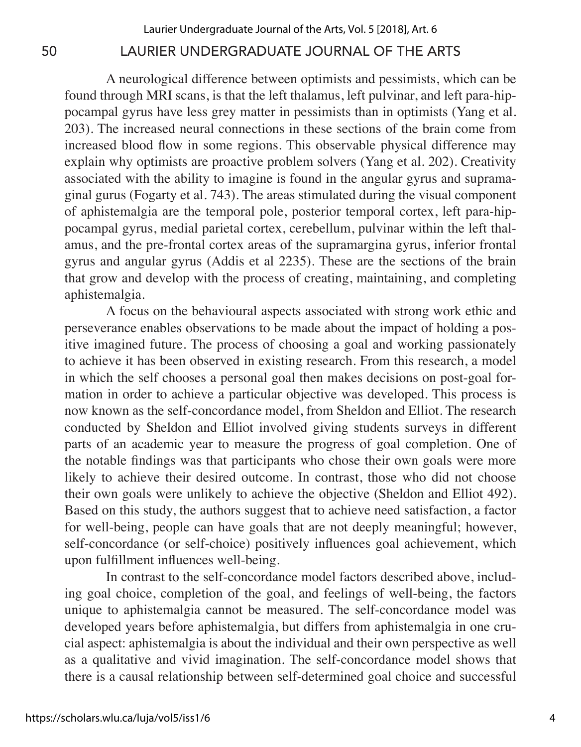A neurological difference between optimists and pessimists, which can be found through MRI scans, is that the left thalamus, left pulvinar, and left para-hippocampal gyrus have less grey matter in pessimists than in optimists (Yang et al. 203). The increased neural connections in these sections of the brain come from increased blood flow in some regions. This observable physical difference may explain why optimists are proactive problem solvers (Yang et al. 202). Creativity associated with the ability to imagine is found in the angular gyrus and supramaginal gurus (Fogarty et al. 743). The areas stimulated during the visual component of aphistemalgia are the temporal pole, posterior temporal cortex, left para-hippocampal gyrus, medial parietal cortex, cerebellum, pulvinar within the left thalamus, and the pre-frontal cortex areas of the supramargina gyrus, inferior frontal gyrus and angular gyrus (Addis et al 2235). These are the sections of the brain that grow and develop with the process of creating, maintaining, and completing aphistemalgia.

A focus on the behavioural aspects associated with strong work ethic and perseverance enables observations to be made about the impact of holding a positive imagined future. The process of choosing a goal and working passionately to achieve it has been observed in existing research. From this research, a model in which the self chooses a personal goal then makes decisions on post-goal formation in order to achieve a particular objective was developed. This process is now known as the self-concordance model, from Sheldon and Elliot. The research conducted by Sheldon and Elliot involved giving students surveys in different parts of an academic year to measure the progress of goal completion. One of the notable findings was that participants who chose their own goals were more likely to achieve their desired outcome. In contrast, those who did not choose their own goals were unlikely to achieve the objective (Sheldon and Elliot 492). Based on this study, the authors suggest that to achieve need satisfaction, a factor for well-being, people can have goals that are not deeply meaningful; however, self-concordance (or self-choice) positively influences goal achievement, which upon fulfillment influences well-being.

In contrast to the self-concordance model factors described above, including goal choice, completion of the goal, and feelings of well-being, the factors unique to aphistemalgia cannot be measured. The self-concordance model was developed years before aphistemalgia, but differs from aphistemalgia in one crucial aspect: aphistemalgia is about the individual and their own perspective as well as a qualitative and vivid imagination. The self-concordance model shows that there is a causal relationship between self-determined goal choice and successful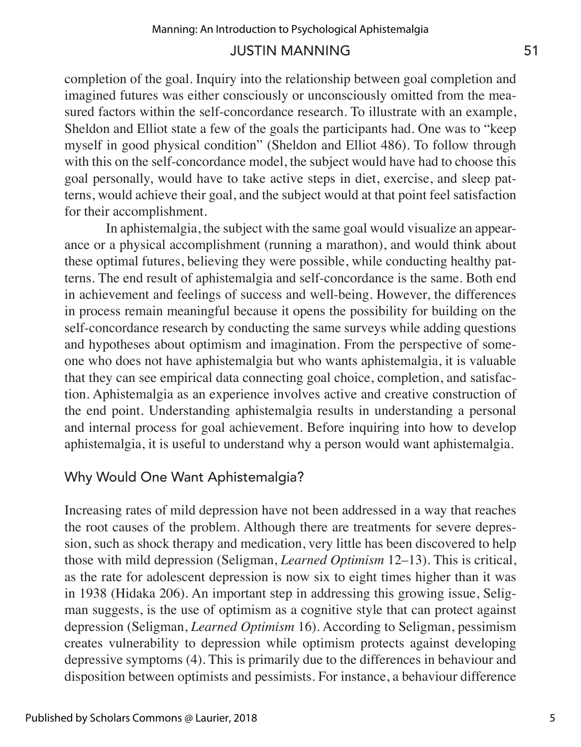completion of the goal. Inquiry into the relationship between goal completion and imagined futures was either consciously or unconsciously omitted from the measured factors within the self-concordance research. To illustrate with an example, Sheldon and Elliot state a few of the goals the participants had. One was to "keep myself in good physical condition" (Sheldon and Elliot 486). To follow through with this on the self-concordance model, the subject would have had to choose this goal personally, would have to take active steps in diet, exercise, and sleep patterns, would achieve their goal, and the subject would at that point feel satisfaction for their accomplishment.

In aphistemalgia, the subject with the same goal would visualize an appearance or a physical accomplishment (running a marathon), and would think about these optimal futures, believing they were possible, while conducting healthy patterns. The end result of aphistemalgia and self-concordance is the same. Both end in achievement and feelings of success and well-being. However, the differences in process remain meaningful because it opens the possibility for building on the self-concordance research by conducting the same surveys while adding questions and hypotheses about optimism and imagination. From the perspective of someone who does not have aphistemalgia but who wants aphistemalgia, it is valuable that they can see empirical data connecting goal choice, completion, and satisfaction. Aphistemalgia as an experience involves active and creative construction of the end point. Understanding aphistemalgia results in understanding a personal and internal process for goal achievement. Before inquiring into how to develop aphistemalgia, it is useful to understand why a person would want aphistemalgia.

# Why Would One Want Aphistemalgia?

Increasing rates of mild depression have not been addressed in a way that reaches the root causes of the problem. Although there are treatments for severe depression, such as shock therapy and medication, very little has been discovered to help those with mild depression (Seligman, *Learned Optimism* 12–13). This is critical, as the rate for adolescent depression is now six to eight times higher than it was in 1938 (Hidaka 206). An important step in addressing this growing issue, Seligman suggests, is the use of optimism as a cognitive style that can protect against depression (Seligman, *Learned Optimism* 16). According to Seligman, pessimism creates vulnerability to depression while optimism protects against developing depressive symptoms (4). This is primarily due to the differences in behaviour and disposition between optimists and pessimists. For instance, a behaviour difference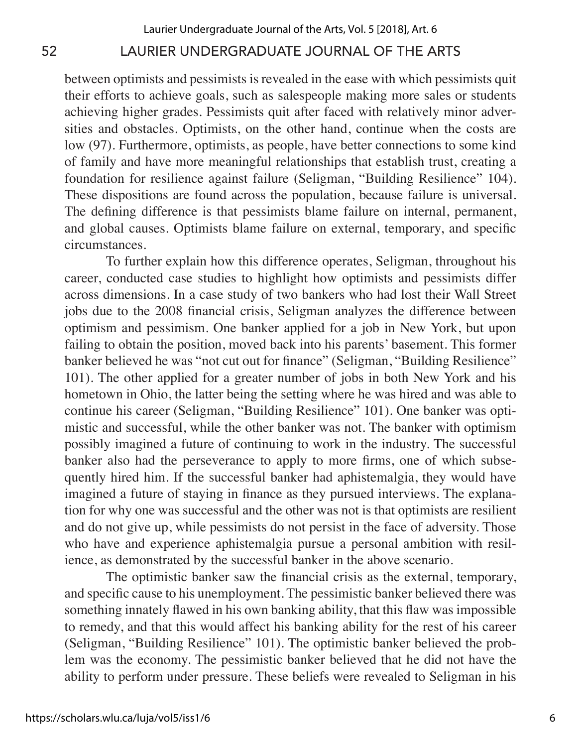between optimists and pessimists is revealed in the ease with which pessimists quit their efforts to achieve goals, such as salespeople making more sales or students achieving higher grades. Pessimists quit after faced with relatively minor adversities and obstacles. Optimists, on the other hand, continue when the costs are low (97). Furthermore, optimists, as people, have better connections to some kind of family and have more meaningful relationships that establish trust, creating a foundation for resilience against failure (Seligman, "Building Resilience" 104). These dispositions are found across the population, because failure is universal. The defining difference is that pessimists blame failure on internal, permanent, and global causes. Optimists blame failure on external, temporary, and specific circumstances.

To further explain how this difference operates, Seligman, throughout his career, conducted case studies to highlight how optimists and pessimists differ across dimensions. In a case study of two bankers who had lost their Wall Street jobs due to the 2008 financial crisis, Seligman analyzes the difference between optimism and pessimism. One banker applied for a job in New York, but upon failing to obtain the position, moved back into his parents' basement. This former banker believed he was "not cut out for finance" (Seligman, "Building Resilience" 101). The other applied for a greater number of jobs in both New York and his hometown in Ohio, the latter being the setting where he was hired and was able to continue his career (Seligman, "Building Resilience" 101). One banker was optimistic and successful, while the other banker was not. The banker with optimism possibly imagined a future of continuing to work in the industry. The successful banker also had the perseverance to apply to more firms, one of which subsequently hired him. If the successful banker had aphistemalgia, they would have imagined a future of staying in finance as they pursued interviews. The explanation for why one was successful and the other was not is that optimists are resilient and do not give up, while pessimists do not persist in the face of adversity. Those who have and experience aphistemalgia pursue a personal ambition with resilience, as demonstrated by the successful banker in the above scenario.

The optimistic banker saw the financial crisis as the external, temporary, and specific cause to his unemployment. The pessimistic banker believed there was something innately flawed in his own banking ability, that this flaw was impossible to remedy, and that this would affect his banking ability for the rest of his career (Seligman, "Building Resilience" 101). The optimistic banker believed the problem was the economy. The pessimistic banker believed that he did not have the ability to perform under pressure. These beliefs were revealed to Seligman in his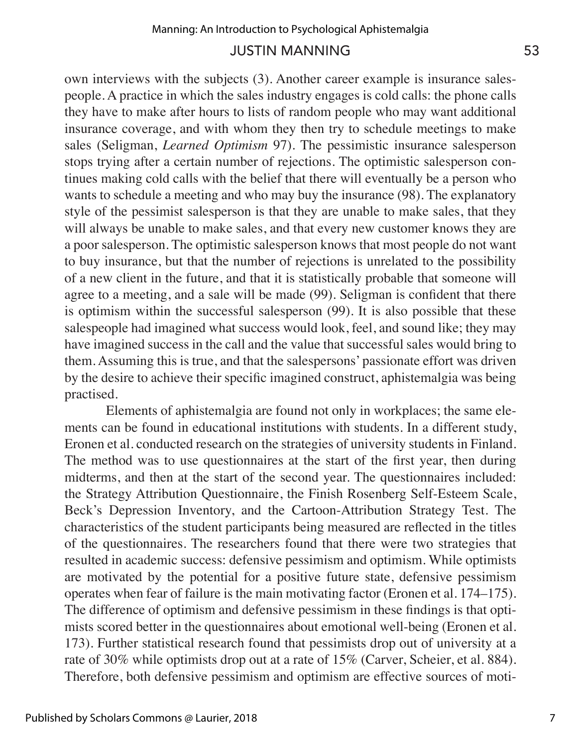own interviews with the subjects (3). Another career example is insurance salespeople. A practice in which the sales industry engages is cold calls: the phone calls they have to make after hours to lists of random people who may want additional insurance coverage, and with whom they then try to schedule meetings to make sales (Seligman, *Learned Optimism* 97). The pessimistic insurance salesperson stops trying after a certain number of rejections. The optimistic salesperson continues making cold calls with the belief that there will eventually be a person who wants to schedule a meeting and who may buy the insurance (98). The explanatory style of the pessimist salesperson is that they are unable to make sales, that they will always be unable to make sales, and that every new customer knows they are a poor salesperson. The optimistic salesperson knows that most people do not want to buy insurance, but that the number of rejections is unrelated to the possibility of a new client in the future, and that it is statistically probable that someone will agree to a meeting, and a sale will be made (99). Seligman is confident that there is optimism within the successful salesperson (99). It is also possible that these salespeople had imagined what success would look, feel, and sound like; they may have imagined success in the call and the value that successful sales would bring to them. Assuming this is true, and that the salespersons' passionate effort was driven by the desire to achieve their specific imagined construct, aphistemalgia was being practised.

Elements of aphistemalgia are found not only in workplaces; the same elements can be found in educational institutions with students. In a different study, Eronen et al. conducted research on the strategies of university students in Finland. The method was to use questionnaires at the start of the first year, then during midterms, and then at the start of the second year. The questionnaires included: the Strategy Attribution Questionnaire, the Finish Rosenberg Self-Esteem Scale, Beck's Depression Inventory, and the Cartoon-Attribution Strategy Test. The characteristics of the student participants being measured are reflected in the titles of the questionnaires. The researchers found that there were two strategies that resulted in academic success: defensive pessimism and optimism. While optimists are motivated by the potential for a positive future state, defensive pessimism operates when fear of failure is the main motivating factor (Eronen et al. 174–175). The difference of optimism and defensive pessimism in these findings is that optimists scored better in the questionnaires about emotional well-being (Eronen et al. 173). Further statistical research found that pessimists drop out of university at a rate of 30% while optimists drop out at a rate of 15% (Carver, Scheier, et al. 884). Therefore, both defensive pessimism and optimism are effective sources of moti-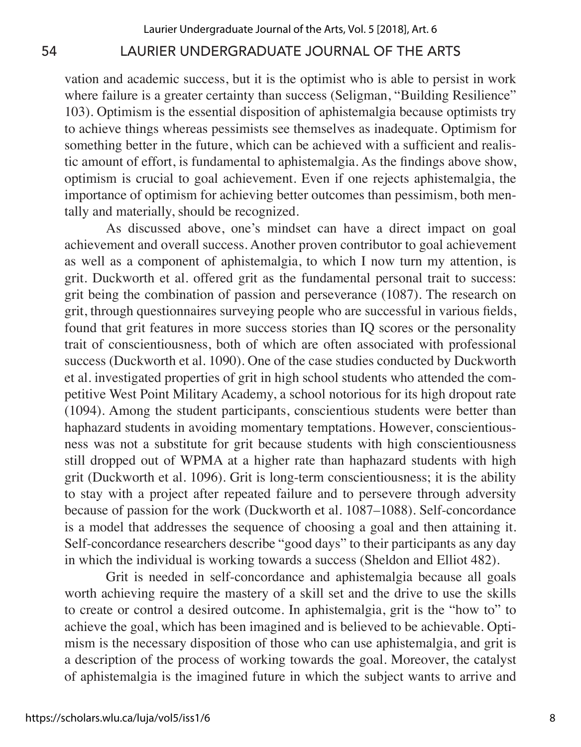vation and academic success, but it is the optimist who is able to persist in work where failure is a greater certainty than success (Seligman, "Building Resilience" 103). Optimism is the essential disposition of aphistemalgia because optimists try to achieve things whereas pessimists see themselves as inadequate. Optimism for something better in the future, which can be achieved with a sufficient and realistic amount of effort, is fundamental to aphistemalgia. As the findings above show, optimism is crucial to goal achievement. Even if one rejects aphistemalgia, the importance of optimism for achieving better outcomes than pessimism, both mentally and materially, should be recognized.

As discussed above, one's mindset can have a direct impact on goal achievement and overall success. Another proven contributor to goal achievement as well as a component of aphistemalgia, to which I now turn my attention, is grit. Duckworth et al. offered grit as the fundamental personal trait to success: grit being the combination of passion and perseverance (1087). The research on grit, through questionnaires surveying people who are successful in various fields, found that grit features in more success stories than IQ scores or the personality trait of conscientiousness, both of which are often associated with professional success (Duckworth et al. 1090). One of the case studies conducted by Duckworth et al. investigated properties of grit in high school students who attended the competitive West Point Military Academy, a school notorious for its high dropout rate (1094). Among the student participants, conscientious students were better than haphazard students in avoiding momentary temptations. However, conscientiousness was not a substitute for grit because students with high conscientiousness still dropped out of WPMA at a higher rate than haphazard students with high grit (Duckworth et al. 1096). Grit is long-term conscientiousness; it is the ability to stay with a project after repeated failure and to persevere through adversity because of passion for the work (Duckworth et al. 1087–1088). Self-concordance is a model that addresses the sequence of choosing a goal and then attaining it. Self-concordance researchers describe "good days" to their participants as any day in which the individual is working towards a success (Sheldon and Elliot 482).

Grit is needed in self-concordance and aphistemalgia because all goals worth achieving require the mastery of a skill set and the drive to use the skills to create or control a desired outcome. In aphistemalgia, grit is the "how to" to achieve the goal, which has been imagined and is believed to be achievable. Optimism is the necessary disposition of those who can use aphistemalgia, and grit is a description of the process of working towards the goal. Moreover, the catalyst of aphistemalgia is the imagined future in which the subject wants to arrive and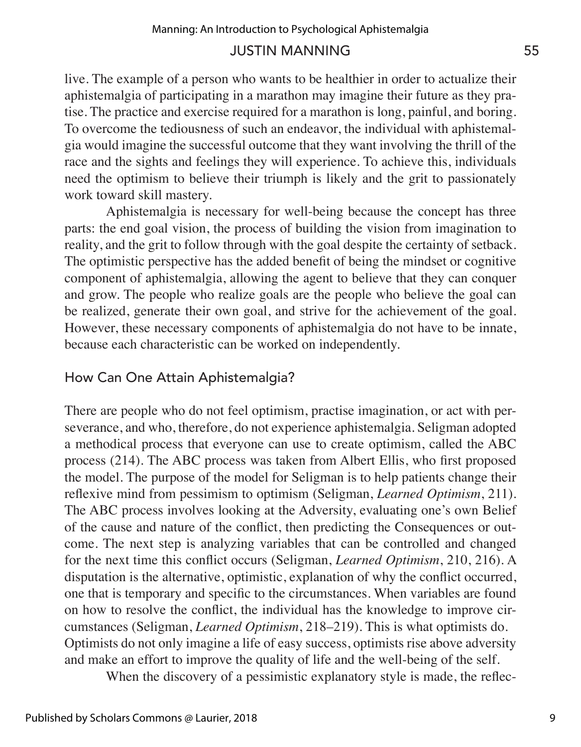live. The example of a person who wants to be healthier in order to actualize their aphistemalgia of participating in a marathon may imagine their future as they pratise. The practice and exercise required for a marathon is long, painful, and boring. To overcome the tediousness of such an endeavor, the individual with aphistemalgia would imagine the successful outcome that they want involving the thrill of the race and the sights and feelings they will experience. To achieve this, individuals need the optimism to believe their triumph is likely and the grit to passionately work toward skill mastery.

Aphistemalgia is necessary for well-being because the concept has three parts: the end goal vision, the process of building the vision from imagination to reality, and the grit to follow through with the goal despite the certainty of setback. The optimistic perspective has the added benefit of being the mindset or cognitive component of aphistemalgia, allowing the agent to believe that they can conquer and grow. The people who realize goals are the people who believe the goal can be realized, generate their own goal, and strive for the achievement of the goal. However, these necessary components of aphistemalgia do not have to be innate, because each characteristic can be worked on independently.

# How Can One Attain Aphistemalgia?

There are people who do not feel optimism, practise imagination, or act with perseverance, and who, therefore, do not experience aphistemalgia. Seligman adopted a methodical process that everyone can use to create optimism, called the ABC process (214). The ABC process was taken from Albert Ellis, who first proposed the model. The purpose of the model for Seligman is to help patients change their reflexive mind from pessimism to optimism (Seligman, *Learned Optimism*, 211). The ABC process involves looking at the Adversity, evaluating one's own Belief of the cause and nature of the conflict, then predicting the Consequences or outcome. The next step is analyzing variables that can be controlled and changed for the next time this conflict occurs (Seligman, *Learned Optimism*, 210, 216). A disputation is the alternative, optimistic, explanation of why the conflict occurred, one that is temporary and specific to the circumstances. When variables are found on how to resolve the conflict, the individual has the knowledge to improve circumstances (Seligman, *Learned Optimism*, 218–219). This is what optimists do. Optimists do not only imagine a life of easy success, optimists rise above adversity and make an effort to improve the quality of life and the well-being of the self.

When the discovery of a pessimistic explanatory style is made, the reflec-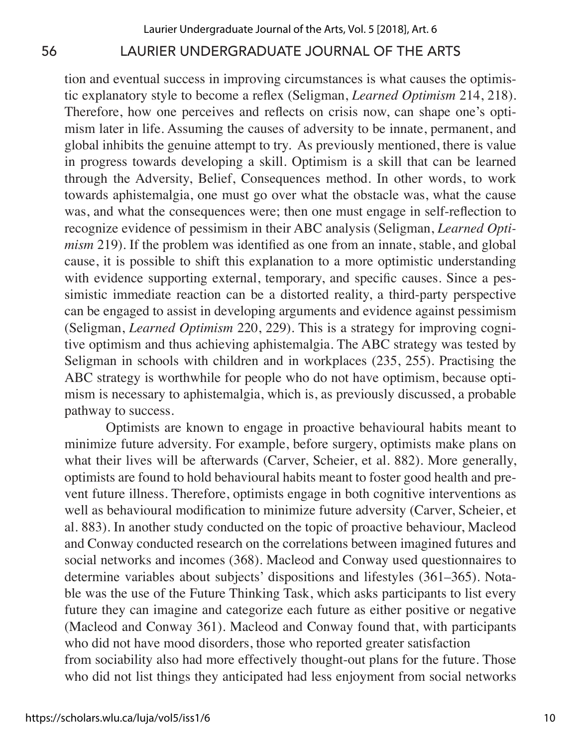tion and eventual success in improving circumstances is what causes the optimistic explanatory style to become a reflex (Seligman, *Learned Optimism* 214, 218). Therefore, how one perceives and reflects on crisis now, can shape one's optimism later in life. Assuming the causes of adversity to be innate, permanent, and global inhibits the genuine attempt to try. As previously mentioned, there is value in progress towards developing a skill. Optimism is a skill that can be learned through the Adversity, Belief, Consequences method. In other words, to work towards aphistemalgia, one must go over what the obstacle was, what the cause was, and what the consequences were; then one must engage in self-reflection to recognize evidence of pessimism in their ABC analysis (Seligman, *Learned Optimism* 219). If the problem was identified as one from an innate, stable, and global cause, it is possible to shift this explanation to a more optimistic understanding with evidence supporting external, temporary, and specific causes. Since a pessimistic immediate reaction can be a distorted reality, a third-party perspective can be engaged to assist in developing arguments and evidence against pessimism (Seligman, *Learned Optimism* 220, 229). This is a strategy for improving cognitive optimism and thus achieving aphistemalgia. The ABC strategy was tested by Seligman in schools with children and in workplaces (235, 255). Practising the ABC strategy is worthwhile for people who do not have optimism, because optimism is necessary to aphistemalgia, which is, as previously discussed, a probable pathway to success.

Optimists are known to engage in proactive behavioural habits meant to minimize future adversity. For example, before surgery, optimists make plans on what their lives will be afterwards (Carver, Scheier, et al. 882). More generally, optimists are found to hold behavioural habits meant to foster good health and prevent future illness. Therefore, optimists engage in both cognitive interventions as well as behavioural modification to minimize future adversity (Carver, Scheier, et al. 883). In another study conducted on the topic of proactive behaviour, Macleod and Conway conducted research on the correlations between imagined futures and social networks and incomes (368). Macleod and Conway used questionnaires to determine variables about subjects' dispositions and lifestyles (361–365). Notable was the use of the Future Thinking Task, which asks participants to list every future they can imagine and categorize each future as either positive or negative (Macleod and Conway 361). Macleod and Conway found that, with participants who did not have mood disorders, those who reported greater satisfaction from sociability also had more effectively thought-out plans for the future. Those who did not list things they anticipated had less enjoyment from social networks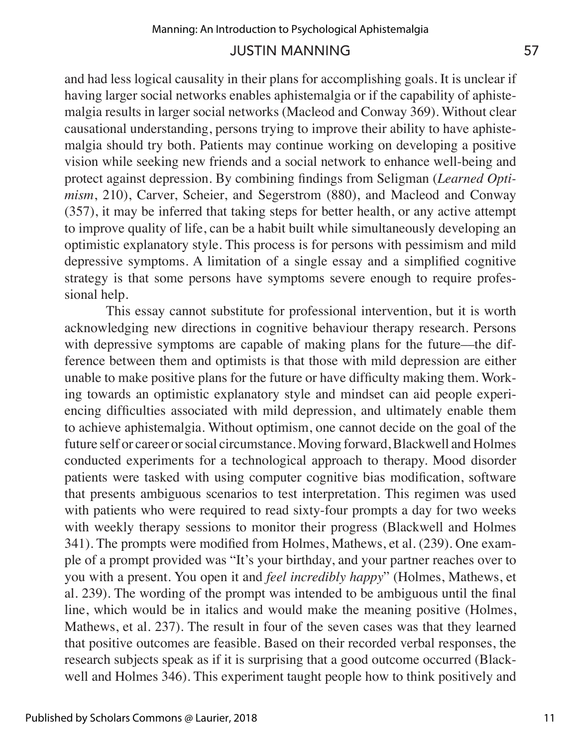and had less logical causality in their plans for accomplishing goals. It is unclear if having larger social networks enables aphistemalgia or if the capability of aphistemalgia results in larger social networks (Macleod and Conway 369). Without clear causational understanding, persons trying to improve their ability to have aphistemalgia should try both. Patients may continue working on developing a positive vision while seeking new friends and a social network to enhance well-being and protect against depression. By combining findings from Seligman (*Learned Optimism*, 210), Carver, Scheier, and Segerstrom (880), and Macleod and Conway (357), it may be inferred that taking steps for better health, or any active attempt to improve quality of life, can be a habit built while simultaneously developing an optimistic explanatory style. This process is for persons with pessimism and mild depressive symptoms. A limitation of a single essay and a simplified cognitive strategy is that some persons have symptoms severe enough to require professional help.

This essay cannot substitute for professional intervention, but it is worth acknowledging new directions in cognitive behaviour therapy research. Persons with depressive symptoms are capable of making plans for the future—the difference between them and optimists is that those with mild depression are either unable to make positive plans for the future or have difficulty making them. Working towards an optimistic explanatory style and mindset can aid people experiencing difficulties associated with mild depression, and ultimately enable them to achieve aphistemalgia. Without optimism, one cannot decide on the goal of the future self or career or social circumstance. Moving forward, Blackwell and Holmes conducted experiments for a technological approach to therapy. Mood disorder patients were tasked with using computer cognitive bias modification, software that presents ambiguous scenarios to test interpretation. This regimen was used with patients who were required to read sixty-four prompts a day for two weeks with weekly therapy sessions to monitor their progress (Blackwell and Holmes 341). The prompts were modified from Holmes, Mathews, et al. (239). One example of a prompt provided was "It's your birthday, and your partner reaches over to you with a present. You open it and *feel incredibly happy*" (Holmes, Mathews, et al. 239). The wording of the prompt was intended to be ambiguous until the final line, which would be in italics and would make the meaning positive (Holmes, Mathews, et al. 237). The result in four of the seven cases was that they learned that positive outcomes are feasible. Based on their recorded verbal responses, the research subjects speak as if it is surprising that a good outcome occurred (Blackwell and Holmes 346). This experiment taught people how to think positively and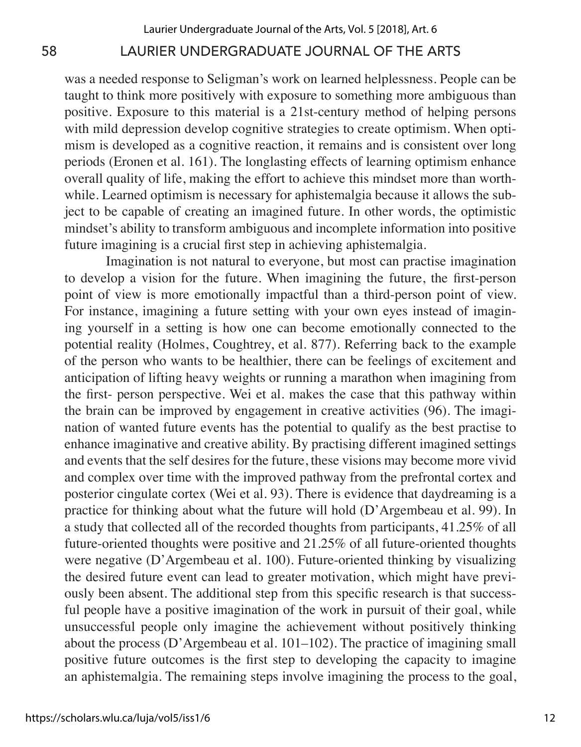was a needed response to Seligman's work on learned helplessness. People can be taught to think more positively with exposure to something more ambiguous than positive. Exposure to this material is a 21st-century method of helping persons with mild depression develop cognitive strategies to create optimism. When optimism is developed as a cognitive reaction, it remains and is consistent over long periods (Eronen et al. 161). The longlasting effects of learning optimism enhance overall quality of life, making the effort to achieve this mindset more than worthwhile. Learned optimism is necessary for aphistemalgia because it allows the subject to be capable of creating an imagined future. In other words, the optimistic mindset's ability to transform ambiguous and incomplete information into positive future imagining is a crucial first step in achieving aphistemalgia.

Imagination is not natural to everyone, but most can practise imagination to develop a vision for the future. When imagining the future, the first-person point of view is more emotionally impactful than a third-person point of view. For instance, imagining a future setting with your own eyes instead of imagining yourself in a setting is how one can become emotionally connected to the potential reality (Holmes, Coughtrey, et al. 877). Referring back to the example of the person who wants to be healthier, there can be feelings of excitement and anticipation of lifting heavy weights or running a marathon when imagining from the first- person perspective. Wei et al. makes the case that this pathway within the brain can be improved by engagement in creative activities (96). The imagination of wanted future events has the potential to qualify as the best practise to enhance imaginative and creative ability. By practising different imagined settings and events that the self desires for the future, these visions may become more vivid and complex over time with the improved pathway from the prefrontal cortex and posterior cingulate cortex (Wei et al. 93). There is evidence that daydreaming is a practice for thinking about what the future will hold (D'Argembeau et al. 99). In a study that collected all of the recorded thoughts from participants, 41.25% of all future-oriented thoughts were positive and 21.25% of all future-oriented thoughts were negative (D'Argembeau et al. 100). Future-oriented thinking by visualizing the desired future event can lead to greater motivation, which might have previously been absent. The additional step from this specific research is that successful people have a positive imagination of the work in pursuit of their goal, while unsuccessful people only imagine the achievement without positively thinking about the process (D'Argembeau et al. 101–102). The practice of imagining small positive future outcomes is the first step to developing the capacity to imagine an aphistemalgia. The remaining steps involve imagining the process to the goal,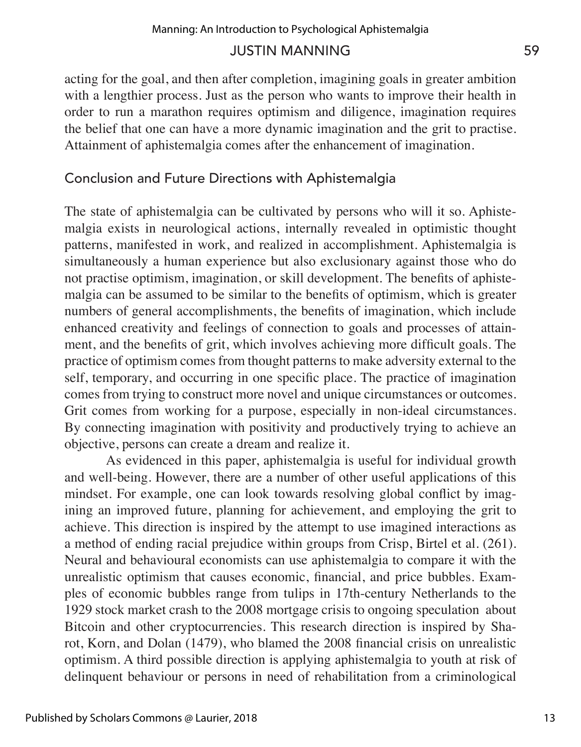acting for the goal, and then after completion, imagining goals in greater ambition with a lengthier process. Just as the person who wants to improve their health in order to run a marathon requires optimism and diligence, imagination requires the belief that one can have a more dynamic imagination and the grit to practise. Attainment of aphistemalgia comes after the enhancement of imagination.

# Conclusion and Future Directions with Aphistemalgia

The state of aphistemalgia can be cultivated by persons who will it so. Aphistemalgia exists in neurological actions, internally revealed in optimistic thought patterns, manifested in work, and realized in accomplishment. Aphistemalgia is simultaneously a human experience but also exclusionary against those who do not practise optimism, imagination, or skill development. The benefits of aphistemalgia can be assumed to be similar to the benefits of optimism, which is greater numbers of general accomplishments, the benefits of imagination, which include enhanced creativity and feelings of connection to goals and processes of attainment, and the benefits of grit, which involves achieving more difficult goals. The practice of optimism comes from thought patterns to make adversity external to the self, temporary, and occurring in one specific place. The practice of imagination comes from trying to construct more novel and unique circumstances or outcomes. Grit comes from working for a purpose, especially in non-ideal circumstances. By connecting imagination with positivity and productively trying to achieve an objective, persons can create a dream and realize it.

As evidenced in this paper, aphistemalgia is useful for individual growth and well-being. However, there are a number of other useful applications of this mindset. For example, one can look towards resolving global conflict by imagining an improved future, planning for achievement, and employing the grit to achieve. This direction is inspired by the attempt to use imagined interactions as a method of ending racial prejudice within groups from Crisp, Birtel et al. (261). Neural and behavioural economists can use aphistemalgia to compare it with the unrealistic optimism that causes economic, financial, and price bubbles. Examples of economic bubbles range from tulips in 17th-century Netherlands to the 1929 stock market crash to the 2008 mortgage crisis to ongoing speculation about Bitcoin and other cryptocurrencies. This research direction is inspired by Sharot, Korn, and Dolan (1479), who blamed the 2008 financial crisis on unrealistic optimism. A third possible direction is applying aphistemalgia to youth at risk of delinquent behaviour or persons in need of rehabilitation from a criminological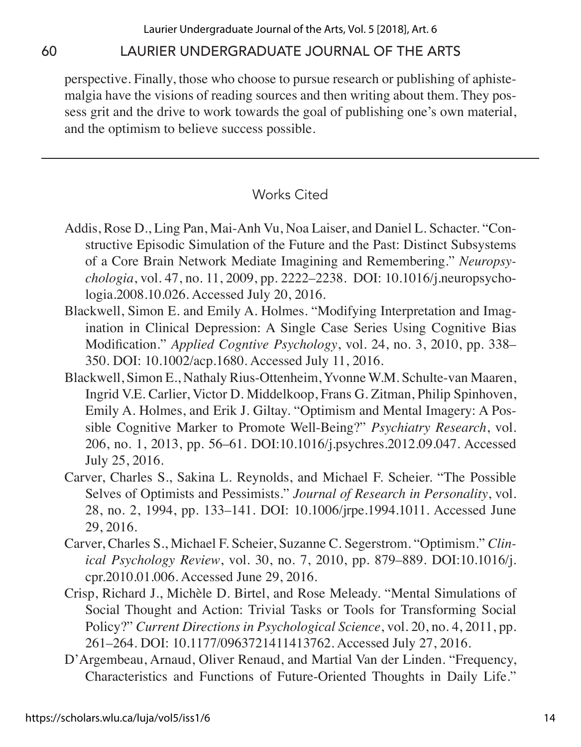perspective. Finally, those who choose to pursue research or publishing of aphistemalgia have the visions of reading sources and then writing about them. They possess grit and the drive to work towards the goal of publishing one's own material, and the optimism to believe success possible.

# Works Cited

- Addis, Rose D., Ling Pan, Mai-Anh Vu, Noa Laiser, and Daniel L. Schacter. "Constructive Episodic Simulation of the Future and the Past: Distinct Subsystems of a Core Brain Network Mediate Imagining and Remembering." *Neuropsychologia*, vol. 47, no. 11, 2009, pp. 2222–2238. DOI: 10.1016/j.neuropsychologia.2008.10.026. Accessed July 20, 2016.
- Blackwell, Simon E. and Emily A. Holmes. "Modifying Interpretation and Imagination in Clinical Depression: A Single Case Series Using Cognitive Bias Modification." *Applied Cogntive Psychology*, vol. 24, no. 3, 2010, pp. 338– 350. DOI: 10.1002/acp.1680. Accessed July 11, 2016.
- Blackwell, Simon E., Nathaly Rius-Ottenheim, Yvonne W.M. Schulte-van Maaren, Ingrid V.E. Carlier, Victor D. Middelkoop, Frans G. Zitman, Philip Spinhoven, Emily A. Holmes, and Erik J. Giltay. "Optimism and Mental Imagery: A Possible Cognitive Marker to Promote Well-Being?" *Psychiatry Research*, vol. 206, no. 1, 2013, pp. 56–61. DOI:10.1016/j.psychres.2012.09.047. Accessed July 25, 2016.
- Carver, Charles S., Sakina L. Reynolds, and Michael F. Scheier. "The Possible Selves of Optimists and Pessimists." *Journal of Research in Personality*, vol. 28, no. 2, 1994, pp. 133–141. DOI: 10.1006/jrpe.1994.1011. Accessed June 29, 2016.
- Carver, Charles S., Michael F. Scheier, Suzanne C. Segerstrom. "Optimism." *Clinical Psychology Review*, vol. 30, no. 7, 2010, pp. 879–889. DOI:10.1016/j. cpr.2010.01.006. Accessed June 29, 2016.
- Crisp, Richard J., Michèle D. Birtel, and Rose Meleady. "Mental Simulations of Social Thought and Action: Trivial Tasks or Tools for Transforming Social Policy?" *Current Directions in Psychological Science*, vol. 20, no. 4, 2011, pp. 261–264. DOI: 10.1177/0963721411413762. Accessed July 27, 2016.
- D'Argembeau, Arnaud, Oliver Renaud, and Martial Van der Linden. "Frequency, Characteristics and Functions of Future-Oriented Thoughts in Daily Life."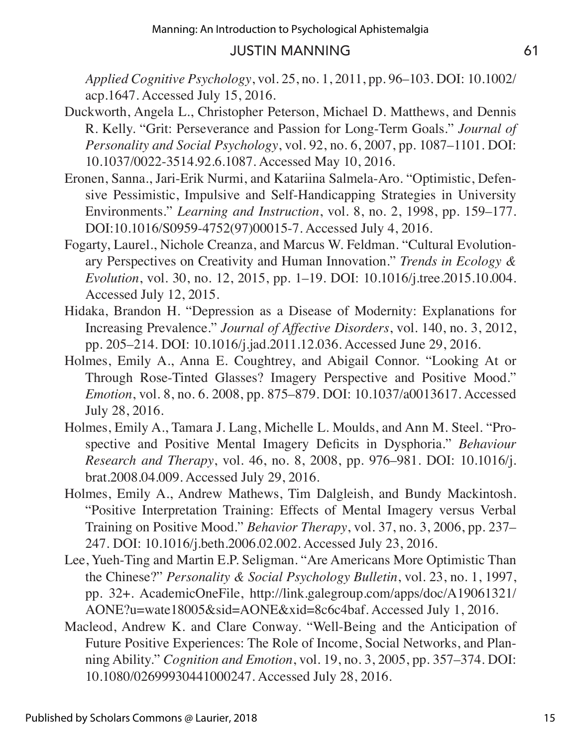*Applied Cognitive Psychology*, vol. 25, no. 1, 2011, pp. 96–103. DOI: 10.1002/ acp.1647. Accessed July 15, 2016.

- Duckworth, Angela L., Christopher Peterson, Michael D. Matthews, and Dennis R. Kelly. "Grit: Perseverance and Passion for Long-Term Goals." *Journal of Personality and Social Psychology*, vol. 92, no. 6, 2007, pp. 1087–1101. DOI: 10.1037/0022-3514.92.6.1087. Accessed May 10, 2016.
- Eronen, Sanna., Jari-Erik Nurmi, and Katariina Salmela-Aro. "Optimistic, Defensive Pessimistic, Impulsive and Self-Handicapping Strategies in University Environments." *Learning and Instruction*, vol. 8, no. 2, 1998, pp. 159–177. DOI:10.1016/S0959-4752(97)00015-7. Accessed July 4, 2016.
- Fogarty, Laurel., Nichole Creanza, and Marcus W. Feldman. "Cultural Evolutionary Perspectives on Creativity and Human Innovation." *Trends in Ecology & Evolution*, vol. 30, no. 12, 2015, pp. 1–19. DOI: 10.1016/j.tree.2015.10.004. Accessed July 12, 2015.
- Hidaka, Brandon H. "Depression as a Disease of Modernity: Explanations for Increasing Prevalence." *Journal of Affective Disorders*, vol. 140, no. 3, 2012, pp. 205–214. DOI: 10.1016/j.jad.2011.12.036. Accessed June 29, 2016.
- Holmes, Emily A., Anna E. Coughtrey, and Abigail Connor. "Looking At or Through Rose-Tinted Glasses? Imagery Perspective and Positive Mood." *Emotion*, vol. 8, no. 6. 2008, pp. 875–879. DOI: 10.1037/a0013617. Accessed July 28, 2016.
- Holmes, Emily A., Tamara J. Lang, Michelle L. Moulds, and Ann M. Steel. "Prospective and Positive Mental Imagery Deficits in Dysphoria." *Behaviour Research and Therapy*, vol. 46, no. 8, 2008, pp. 976–981. DOI: 10.1016/j. brat.2008.04.009. Accessed July 29, 2016.
- Holmes, Emily A., Andrew Mathews, Tim Dalgleish, and Bundy Mackintosh. "Positive Interpretation Training: Effects of Mental Imagery versus Verbal Training on Positive Mood." *Behavior Therapy*, vol. 37, no. 3, 2006, pp. 237– 247. DOI: 10.1016/j.beth.2006.02.002. Accessed July 23, 2016.
- Lee, Yueh-Ting and Martin E.P. Seligman. "Are Americans More Optimistic Than the Chinese?" *Personality & Social Psychology Bulletin*, vol. 23, no. 1, 1997, pp. 32+. AcademicOneFile, http://link.galegroup.com/apps/doc/A19061321/ AONE?u=wate18005&sid=AONE&xid=8c6c4baf. Accessed July 1, 2016.
- Macleod, Andrew K. and Clare Conway. "Well-Being and the Anticipation of Future Positive Experiences: The Role of Income, Social Networks, and Planning Ability." *Cognition and Emotion*, vol. 19, no. 3, 2005, pp. 357–374. DOI: 10.1080/02699930441000247. Accessed July 28, 2016.